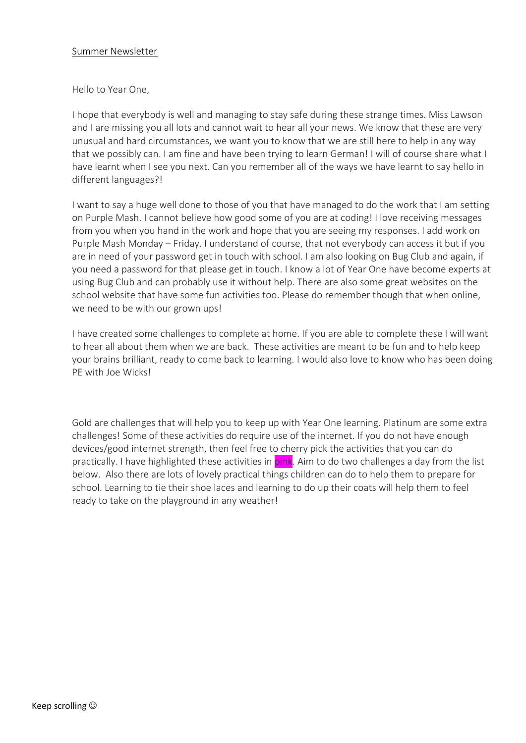### Summer Newsletter

### Hello to Year One,

I hope that everybody is well and managing to stay safe during these strange times. Miss Lawson and I are missing you all lots and cannot wait to hear all your news. We know that these are very unusual and hard circumstances, we want you to know that we are still here to help in any way that we possibly can. I am fine and have been trying to learn German! I will of course share what I have learnt when I see you next. Can you remember all of the ways we have learnt to say hello in different languages?!

I want to say a huge well done to those of you that have managed to do the work that I am setting on Purple Mash. I cannot believe how good some of you are at coding! I love receiving messages from you when you hand in the work and hope that you are seeing my responses. I add work on Purple Mash Monday – Friday. I understand of course, that not everybody can access it but if you are in need of your password get in touch with school. I am also looking on Bug Club and again, if you need a password for that please get in touch. I know a lot of Year One have become experts at using Bug Club and can probably use it without help. There are also some great websites on the school website that have some fun activities too. Please do remember though that when online, we need to be with our grown ups!

I have created some challenges to complete at home. If you are able to complete these I will want to hear all about them when we are back. These activities are meant to be fun and to help keep your brains brilliant, ready to come back to learning. I would also love to know who has been doing PE with Joe Wicks!

Gold are challenges that will help you to keep up with Year One learning. Platinum are some extra challenges! Some of these activities do require use of the internet. If you do not have enough devices/good internet strength, then feel free to cherry pick the activities that you can do practically. I have highlighted these activities in pink. Aim to do two challenges a day from the list below. Also there are lots of lovely practical things children can do to help them to prepare for school. Learning to tie their shoe laces and learning to do up their coats will help them to feel ready to take on the playground in any weather!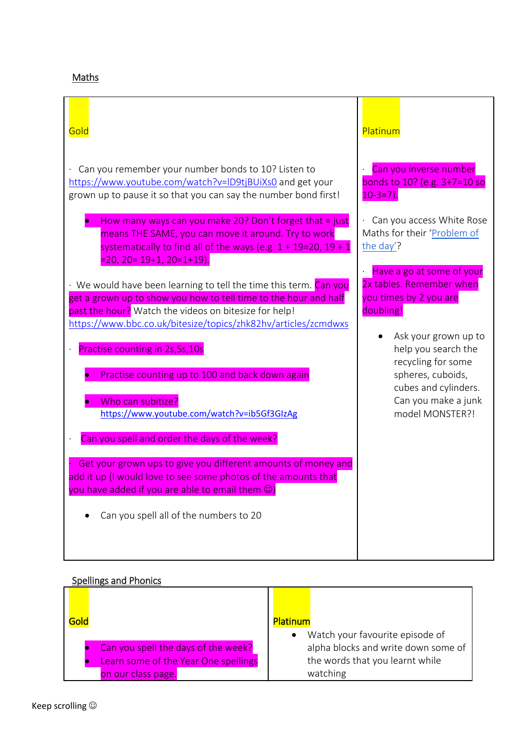## Maths

| Gold                                                                                                                                                                                                                                                             | Platinum                                                                                     |
|------------------------------------------------------------------------------------------------------------------------------------------------------------------------------------------------------------------------------------------------------------------|----------------------------------------------------------------------------------------------|
| Can you remember your number bonds to 10? Listen to<br>https://www.youtube.com/watch?v=ID9tjBUiXs0 and get your<br>grown up to pause it so that you can say the number bond first!                                                                               | Can you inverse number<br>bonds to 10? (e.g. 3+7=10 so<br>$10-3=7$ ).                        |
| How many ways can you make 20? Don't forget that $=$ just<br>means THE SAME, you can move it around. Try to work<br>systematically to find all of the ways (e.g. $1 + 19=20$ , $19 + 1$<br>$= 20, 20 = 19 + 1, 20 = 1 + 19.$                                     | Can you access White Rose<br>Maths for their 'Problem of<br>the day'?                        |
| · We would have been learning to tell the time this term. Can you<br>get a grown up to show you how to tell time to the hour and half<br>past the hour? Watch the videos on bitesize for help!<br>https://www.bbc.co.uk/bitesize/topics/zhk82hv/articles/zcmdwxs | Have a go at some of your<br>2x tables. Remember when<br>you times by 2 you are<br>doubling! |
| Practise counting in 2s, 5s, 10s                                                                                                                                                                                                                                 | Ask your grown up to<br>help you search the<br>recycling for some                            |
| Practise counting up to 100 and back down again<br>Who can subitize?                                                                                                                                                                                             | spheres, cuboids,<br>cubes and cylinders.<br>Can you make a junk                             |
| https://www.youtube.com/watch?v=ib5Gf3GIzAg<br>Can you spell and order the days of the week?                                                                                                                                                                     | model MONSTER?!                                                                              |
| Get your grown ups to give you different amounts of money and<br>add it up (I would love to see some photos of the amounts that<br>you have added if you are able to email them $\circledcirc$ )                                                                 |                                                                                              |
| Can you spell all of the numbers to 20                                                                                                                                                                                                                           |                                                                                              |

# Spellings and Phonics

| Gold                                                       | <b>Platinum</b>                                                        |
|------------------------------------------------------------|------------------------------------------------------------------------|
| Can you spell the days of the week?                        | Watch your favourite episode of<br>alpha blocks and write down some of |
| Learn some of the Year One spellings<br>on our class page. | the words that you learnt while<br>watching                            |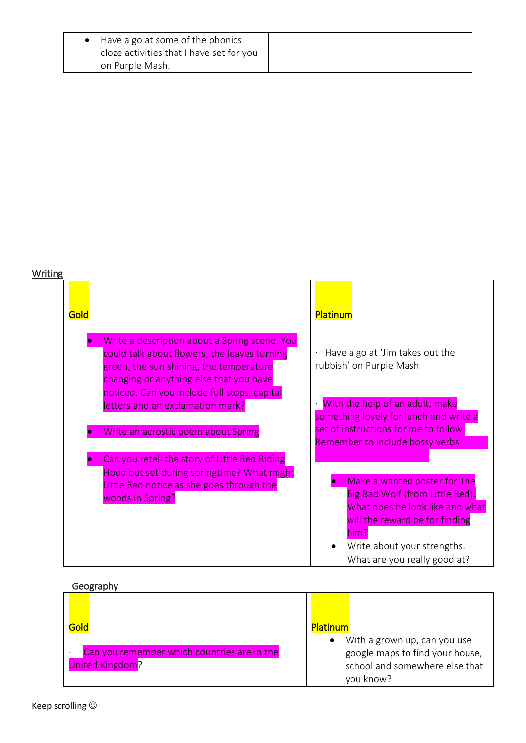| • Have a go at some of the phonics |                                          |
|------------------------------------|------------------------------------------|
|                                    | cloze activities that I have set for you |
| on Purple Mash.                    |                                          |

# Writing

| Gold                                                                                                                                                                                | Platinum                                                                                                                                                                                                    |
|-------------------------------------------------------------------------------------------------------------------------------------------------------------------------------------|-------------------------------------------------------------------------------------------------------------------------------------------------------------------------------------------------------------|
| Write a description about a Spring scene. You<br>could talk about flowers, the leaves turning<br>green, the sun shining, the temperature<br>changing or anything else that you have | Have a go at 'Jim takes out the<br>rubbish' on Purple Mash                                                                                                                                                  |
| noticed. Can you include full stops, capital<br>letters and an exclamation mark?                                                                                                    | With the help of an adult, make<br>something lovely for lunch and write a                                                                                                                                   |
| Write an acrostic poem about Spring                                                                                                                                                 | set of instructions for me to follow.<br>Remember to include bossy verbs                                                                                                                                    |
| Can you retell the story of Little Red Riding<br>Hood but set during springtime? What might<br>Little Red notice as she goes through the<br>woods in Spring?                        | Make a wanted poster for The<br>Big Bad Wolf (from Little Red).<br>What does he look like and what<br>will the reward be for finding<br>him?<br>Write about your strengths.<br>What are you really good at? |

#### Geography

| --------                                                       |                                                                                                                |
|----------------------------------------------------------------|----------------------------------------------------------------------------------------------------------------|
| Gold                                                           | <b>Platinum</b>                                                                                                |
| Can you remember which countries are in the<br>United Kingdom? | With a grown up, can you use<br>google maps to find your house,<br>school and somewhere else that<br>you know? |